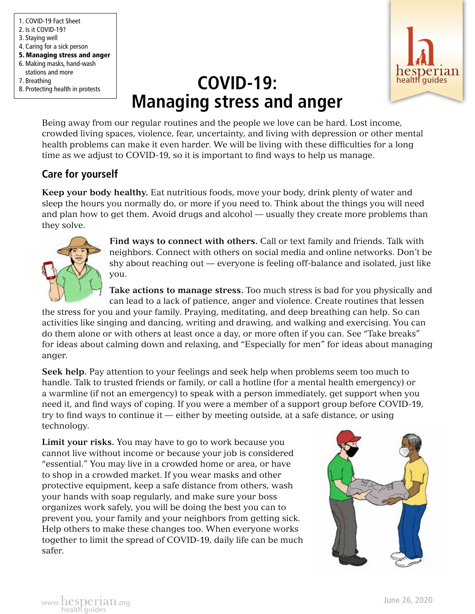1. COVID-19 Fact Sheet 2. Is it COVID-19? 3. Staying well 4. Caring for a sick person 5. Managing stress and anger 6. Making masks, hand-wash stations and more 7. Breathing 8. Protecting health in protests



# **COVID-19: COVID-19: COVID-19: Managing stress and anger**

Being away from our regular routines and the people we love can be hard. Lost income, crowded living spaces, violence, fear, uncertainty, and living with depression or other mental health problems can make it even harder. We will be living with these difficulties for a long time as we adjust to COVID-19, so it is important to find ways to help us manage.

# **Care for yourself**

**Keep your body healthy.** Eat nutritious foods, move your body, drink plenty of water and sleep the hours you normally do, or more if you need to. Think about the things you will need and plan how to get them. Avoid drugs and alcohol — usually they create more problems than they solve.



**Find ways to connect with others.** Call or text family and friends. Talk with neighbors. Connect with others on social media and online networks. Don't be shy about reaching out — everyone is feeling off-balance and isolated, just like you.

**Take actions to manage stress.** Too much stress is bad for you physically and can lead to a lack of patience, anger and violence. Create routines that lessen

the stress for you and your family. Praying, meditating, and deep breathing can help. So can activities like singing and dancing, writing and drawing, and walking and exercising. You can do them alone or with others at least once a day, or more often if you can. See "Take breaks" for ideas about calming down and relaxing, and "Especially for men" for ideas about managing anger.

**Seek help.** Pay attention to your feelings and seek help when problems seem too much to handle. Talk to trusted friends or family, or call a hotline (for a mental health emergency) or a warmline (if not an emergency) to speak with a person immediately, get support when you need it, and find ways of coping. If you were a member of a support group before COVID-19, try to find ways to continue it — either by meeting outside, at a safe distance, or using technology.

**Limit your risks.** You may have to go to work because you cannot live without income or because your job is considered "essential." You may live in a crowded home or area, or have to shop in a crowded market. If you wear masks and other protective equipment, keep a safe distance from others, wash your hands with soap regularly, and make sure your boss organizes work safely, you will be doing the best you can to prevent you, your family and your neighbors from getting sick. Help others to make these changes too. When everyone works together to limit the spread of COVID-19, daily life can be much safer.

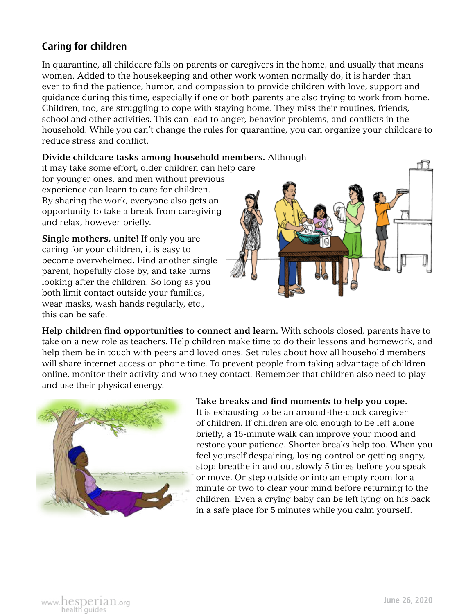# **Caring for children**

In quarantine, all childcare falls on parents or caregivers in the home, and usually that means women. Added to the housekeeping and other work women normally do, it is harder than ever to find the patience, humor, and compassion to provide children with love, support and guidance during this time, especially if one or both parents are also trying to work from home. Children, too, are struggling to cope with staying home. They miss their routines, friends, school and other activities. This can lead to anger, behavior problems, and conflicts in the household. While you can't change the rules for quarantine, you can organize your childcare to reduce stress and conflict.

**Divide childcare tasks among household members.** Although

it may take some effort, older children can help care for younger ones, and men without previous experience can learn to care for children. By sharing the work, everyone also gets an opportunity to take a break from caregiving and relax, however briefly.

**Single mothers, unite!** If only you are caring for your children, it is easy to become overwhelmed. Find another single parent, hopefully close by, and take turns looking after the children. So long as you both limit contact outside your families, wear masks, wash hands regularly, etc., this can be safe.



**Help children find opportunities to connect and learn.** With schools closed, parents have to take on a new role as teachers. Help children make time to do their lessons and homework, and help them be in touch with peers and loved ones. Set rules about how all household members will share internet access or phone time. To prevent people from taking advantage of children online, monitor their activity and who they contact. Remember that children also need to play and use their physical energy.



#### **Take breaks and find moments to help you cope.**

It is exhausting to be an around-the-clock caregiver of children. If children are old enough to be left alone briefly, a 15-minute walk can improve your mood and restore your patience. Shorter breaks help too. When you feel yourself despairing, losing control or getting angry, stop: breathe in and out slowly 5 times before you speak or move. Or step outside or into an empty room for a minute or two to clear your mind before returning to the children. Even a crying baby can be left lying on his back in a safe place for 5 minutes while you calm yourself.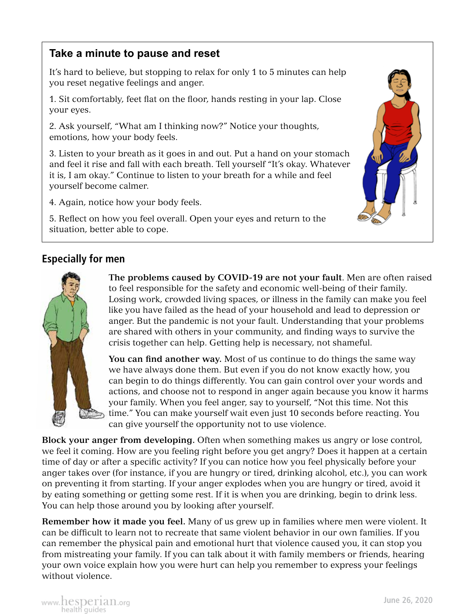#### **Take a minute to pause and reset**

It's hard to believe, but stopping to relax for only 1 to 5 minutes can help you reset negative feelings and anger.

1. Sit comfortably, feet flat on the floor, hands resting in your lap. Close your eyes.

2. Ask yourself, "What am I thinking now?" Notice your thoughts, emotions, how your body feels.

3. Listen to your breath as it goes in and out. Put a hand on your stomach and feel it rise and fall with each breath. Tell yourself "It's okay. Whatever it is, I am okay." Continue to listen to your breath for a while and feel yourself become calmer.

4. Again, notice how your body feels.

5. Reflect on how you feel overall. Open your eyes and return to the situation, better able to cope.

#### **Especially for men**



**The problems caused by COVID-19 are not your fault**. Men are often raised to feel responsible for the safety and economic well-being of their family. Losing work, crowded living spaces, or illness in the family can make you feel like you have failed as the head of your household and lead to depression or anger. But the pandemic is not your fault. Understanding that your problems are shared with others in your community, and finding ways to survive the crisis together can help. Getting help is necessary, not shameful.

**You can find another way.** Most of us continue to do things the same way we have always done them. But even if you do not know exactly how, you can begin to do things differently. You can gain control over your words and actions, and choose not to respond in anger again because you know it harms your family. When you feel anger, say to yourself, "Not this time. Not this time." You can make yourself wait even just 10 seconds before reacting. You can give yourself the opportunity not to use violence.

**Block your anger from developing.** Often when something makes us angry or lose control, we feel it coming. How are you feeling right before you get angry? Does it happen at a certain time of day or after a specific activity? If you can notice how you feel physically before your anger takes over (for instance, if you are hungry or tired, drinking alcohol, etc.), you can work on preventing it from starting. If your anger explodes when you are hungry or tired, avoid it by eating something or getting some rest. If it is when you are drinking, begin to drink less. You can help those around you by looking after yourself.

**Remember how it made you feel.** Many of us grew up in families where men were violent. It can be difficult to learn not to recreate that same violent behavior in our own families. If you can remember the physical pain and emotional hurt that violence caused you, it can stop you from mistreating your family. If you can talk about it with family members or friends, hearing your own voice explain how you were hurt can help you remember to express your feelings without violence.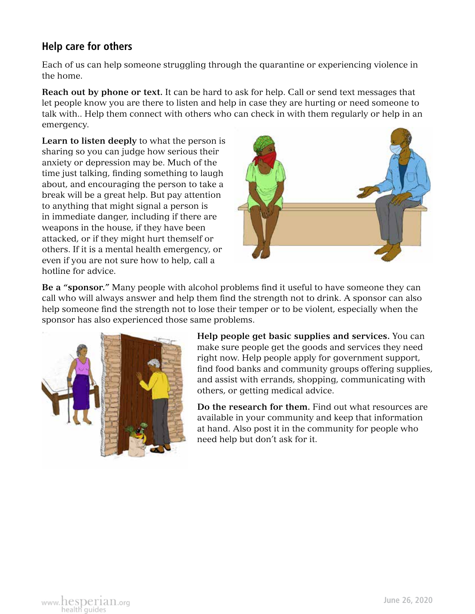### **Help care for others**

Each of us can help someone struggling through the quarantine or experiencing violence in the home.

**Reach out by phone or text.** It can be hard to ask for help. Call or send text messages that let people know you are there to listen and help in case they are hurting or need someone to talk with.. Help them connect with others who can check in with them regularly or help in an emergency.

**Learn to listen deeply** to what the person is sharing so you can judge how serious their anxiety or depression may be. Much of the time just talking, finding something to laugh about, and encouraging the person to take a break will be a great help. But pay attention to anything that might signal a person is in immediate danger, including if there are weapons in the house, if they have been attacked, or if they might hurt themself or others. If it is a mental health emergency, or even if you are not sure how to help, call a hotline for advice.



**Be a "sponsor."** Many people with alcohol problems find it useful to have someone they can call who will always answer and help them find the strength not to drink. A sponsor can also help someone find the strength not to lose their temper or to be violent, especially when the sponsor has also experienced those same problems.



**Help people get basic supplies and services.** You can make sure people get the goods and services they need right now. Help people apply for government support, find food banks and community groups offering supplies, and assist with errands, shopping, communicating with others, or getting medical advice.

**Do the research for them.** Find out what resources are available in your community and keep that information at hand. Also post it in the community for people who need help but don't ask for it.